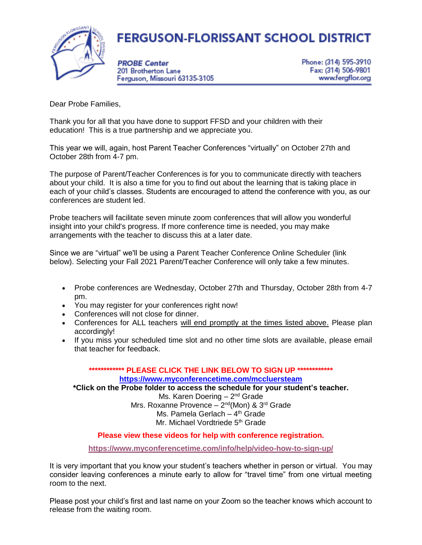## **FERGUSON-FLORISSANT SCHOOL DISTRICT**



**PROBE Center** 201 Brotherton Lane Ferguson, Missouri 63135-3105 Phone: (314) 595-3910 Fax: (314) 506-9801 www.fergflor.org

Dear Probe Families,

Thank you for all that you have done to support FFSD and your children with their education! This is a true partnership and we appreciate you.

This year we will, again, host Parent Teacher Conferences "virtually" on October 27th and October 28th from 4-7 pm.

The purpose of Parent/Teacher Conferences is for you to communicate directly with teachers about your child. It is also a time for you to find out about the learning that is taking place in each of your child's classes. Students are encouraged to attend the conference with you, as our conferences are student led.

Probe teachers will facilitate seven minute zoom conferences that will allow you wonderful insight into your child's progress. If more conference time is needed, you may make arrangements with the teacher to discuss this at a later date.

Since we are "virtual" we'll be using a Parent Teacher Conference Online Scheduler (link below). Selecting your Fall 2021 Parent/Teacher Conference will only take a few minutes.

- Probe conferences are Wednesday, October 27th and Thursday, October 28th from 4-7 pm.
- You may register for your conferences right now!
- Conferences will not close for dinner.
- Conferences for ALL teachers will end promptly at the times listed above. Please plan accordingly!
- If you miss your scheduled time slot and no other time slots are available, please email that teacher for feedback.

## **\*\*\*\*\*\*\*\*\*\*\*\* PLEASE CLICK THE LINK BELOW TO SIGN UP \*\*\*\*\*\*\*\*\*\*\*\* <https://www.myconferencetime.com/mccluersteam>**

**\*Click on the Probe folder to access the schedule for your student's teacher.** 

Ms. Karen Doering - 2<sup>nd</sup> Grade Mrs. Roxanne Provence – 2<sup>nd</sup>(Mon) & 3<sup>rd</sup> Grade Ms. Pamela Gerlach - 4<sup>th</sup> Grade Mr. Michael Vordtriede 5<sup>th</sup> Grade

**Please view these videos for help with conference registration.**

**<https://www.myconferencetime.com/info/help/video-how-to-sign-up/>**

It is very important that you know your student's teachers whether in person or virtual. You may consider leaving conferences a minute early to allow for "travel time" from one virtual meeting room to the next.

Please post your child's first and last name on your Zoom so the teacher knows which account to release from the waiting room.